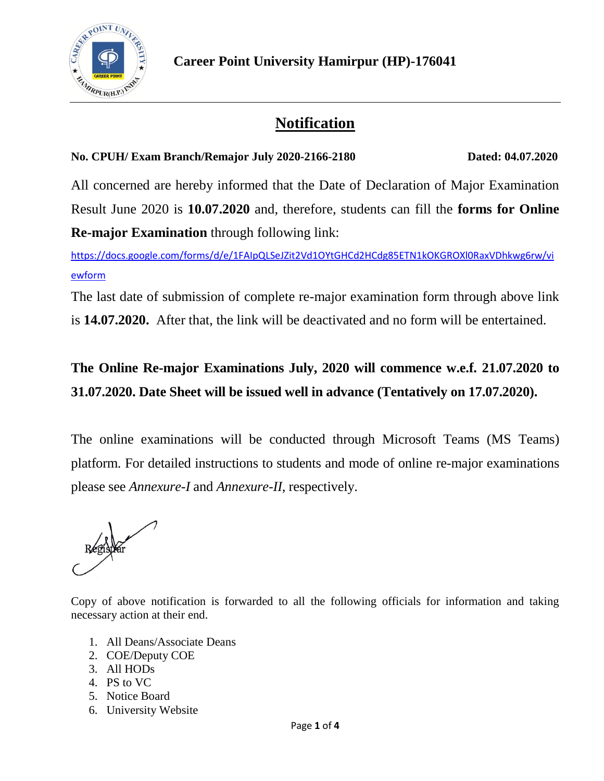

# **Notification**

#### **No. CPUH/ Exam Branch/Remajor July 2020-2166-2180 Dated: 04.07.2020**

All concerned are hereby informed that the Date of Declaration of Major Examination Result June 2020 is **10.07.2020** and, therefore, students can fill the **forms for Online Re-major Examination** through following link:

[https://docs.google.com/forms/d/e/1FAIpQLSeJZit2Vd1OYtGHCd2HCdg85ETN1kOKGROXl0RaxVDhkwg6rw/vi](https://docs.google.com/forms/d/e/1FAIpQLSeJZit2Vd1OYtGHCd2HCdg85ETN1kOKGROXl0RaxVDhkwg6rw/viewform) [ewform](https://docs.google.com/forms/d/e/1FAIpQLSeJZit2Vd1OYtGHCd2HCdg85ETN1kOKGROXl0RaxVDhkwg6rw/viewform)

The last date of submission of complete re-major examination form through above link is **14.07.2020.** After that, the link will be deactivated and no form will be entertained.

## **The Online Re-major Examinations July, 2020 will commence w.e.f. 21.07.2020 to 31.07.2020. Date Sheet will be issued well in advance (Tentatively on 17.07.2020).**

The online examinations will be conducted through Microsoft Teams (MS Teams) platform. For detailed instructions to students and mode of online re-major examinations please see *Annexure-I* and *Annexure-II*, respectively.

Copy of above notification is forwarded to all the following officials for information and taking necessary action at their end.

- 1. All Deans/Associate Deans
- 2. COE/Deputy COE
- 3. All HODs
- 4. PS to VC
- 5. Notice Board
- 6. University Website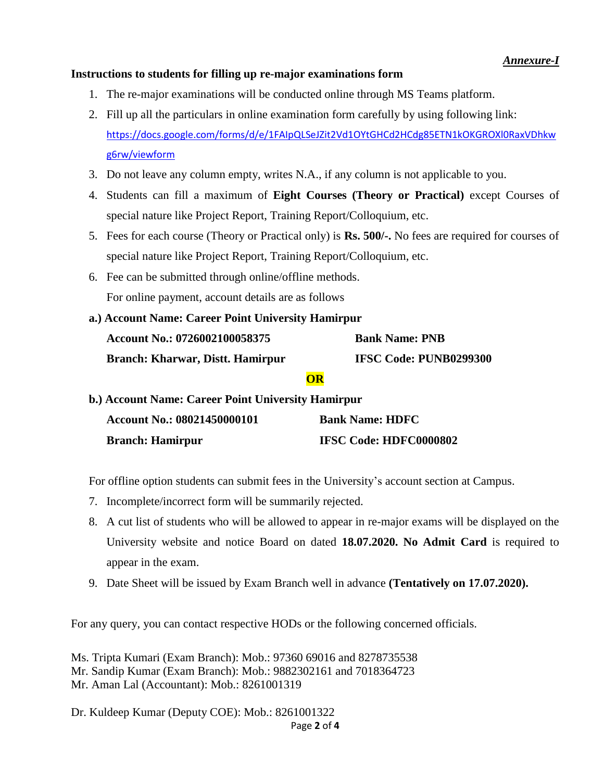#### **Instructions to students for filling up re-major examinations form**

- 1. The re-major examinations will be conducted online through MS Teams platform.
- 2. Fill up all the particulars in online examination form carefully by using following link: [https://docs.google.com/forms/d/e/1FAIpQLSeJZit2Vd1OYtGHCd2HCdg85ETN1kOKGROXl0RaxVDhkw](https://docs.google.com/forms/d/e/1FAIpQLSeJZit2Vd1OYtGHCd2HCdg85ETN1kOKGROXl0RaxVDhkwg6rw/viewform) [g6rw/viewform](https://docs.google.com/forms/d/e/1FAIpQLSeJZit2Vd1OYtGHCd2HCdg85ETN1kOKGROXl0RaxVDhkwg6rw/viewform)
- 3. Do not leave any column empty, writes N.A., if any column is not applicable to you.
- 4. Students can fill a maximum of **Eight Courses (Theory or Practical)** except Courses of special nature like Project Report, Training Report/Colloquium, etc.
- 5. Fees for each course (Theory or Practical only) is **Rs. 500/-.** No fees are required for courses of special nature like Project Report, Training Report/Colloquium, etc.
- 6. Fee can be submitted through online/offline methods. For online payment, account details are as follows
- **a.) Account Name: Career Point University Hamirpur Account No.: 0726002100058375 Bank Name: PNB Branch: Kharwar, Distt. Hamirpur IFSC Code: PUNB0299300**

#### **OR**

**b.) Account Name: Career Point University Hamirpur Account No.: 08021450000101 Bank Name: HDFC Branch: Hamirpur IFSC Code: HDFC0000802** 

For offline option students can submit fees in the University's account section at Campus.

- 7. Incomplete/incorrect form will be summarily rejected.
- 8. A cut list of students who will be allowed to appear in re-major exams will be displayed on the University website and notice Board on dated **18.07.2020. No Admit Card** is required to appear in the exam.
- 9. Date Sheet will be issued by Exam Branch well in advance **(Tentatively on 17.07.2020).**

For any query, you can contact respective HODs or the following concerned officials.

Ms. Tripta Kumari (Exam Branch): Mob.: 97360 69016 and 8278735538 Mr. Sandip Kumar (Exam Branch): Mob.: 9882302161 and 7018364723 Mr. Aman Lal (Accountant): Mob.: 8261001319

Page **2** of **4** Dr. Kuldeep Kumar (Deputy COE): Mob.: 8261001322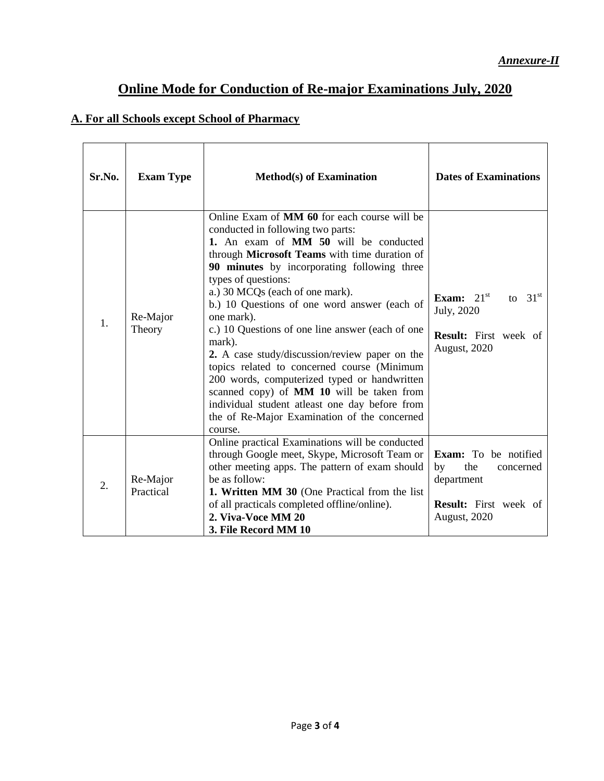### **Online Mode for Conduction of Re-major Examinations July, 2020**

### **A. For all Schools except School of Pharmacy**

| Sr.No. | <b>Exam Type</b>      | <b>Method(s)</b> of Examination                                                                                                                                                                                                                                                                                                                                                                                                                                                                                                                                                                                                                                                                                                    | <b>Dates of Examinations</b>                                                                                        |
|--------|-----------------------|------------------------------------------------------------------------------------------------------------------------------------------------------------------------------------------------------------------------------------------------------------------------------------------------------------------------------------------------------------------------------------------------------------------------------------------------------------------------------------------------------------------------------------------------------------------------------------------------------------------------------------------------------------------------------------------------------------------------------------|---------------------------------------------------------------------------------------------------------------------|
| 1.     | Re-Major<br>Theory    | Online Exam of <b>MM 60</b> for each course will be<br>conducted in following two parts:<br>1. An exam of MM 50 will be conducted<br>through Microsoft Teams with time duration of<br>90 minutes by incorporating following three<br>types of questions:<br>a.) 30 MCQs (each of one mark).<br>b.) 10 Questions of one word answer (each of<br>one mark).<br>c.) 10 Questions of one line answer (each of one<br>mark).<br>2. A case study/discussion/review paper on the<br>topics related to concerned course (Minimum<br>200 words, computerized typed or handwritten<br>scanned copy) of MM 10 will be taken from<br>individual student atleast one day before from<br>the of Re-Major Examination of the concerned<br>course. | Exam: $21st$<br>to $31st$<br>July, 2020<br><b>Result:</b> First week of<br>August, 2020                             |
| 2.     | Re-Major<br>Practical | Online practical Examinations will be conducted<br>through Google meet, Skype, Microsoft Team or<br>other meeting apps. The pattern of exam should<br>be as follow:<br>1. Written MM 30 (One Practical from the list<br>of all practicals completed offline/online).<br>2. Viva-Voce MM 20<br>3. File Record MM 10                                                                                                                                                                                                                                                                                                                                                                                                                 | Exam: To be notified<br>by<br>the<br>concerned<br>department<br><b>Result:</b> First week of<br><b>August, 2020</b> |